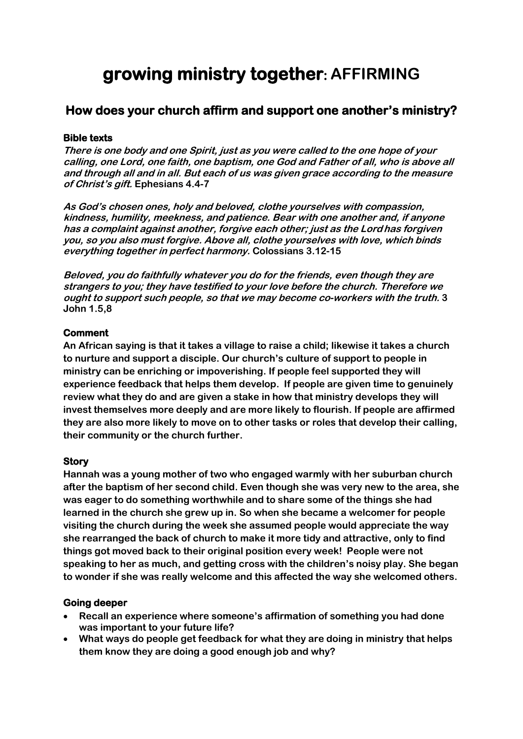# **growing ministry together: AFFIRMING**

# **How does your church affirm and support one another's ministry?**

# **Bible texts**

**There is one body and one Spirit, just as you were called to the one hope of your calling, one Lord, one faith, one baptism, one God and Father of all, who is above all and through all and in all. But each of us was given grace according to the measure of Christ's gift. Ephesians 4.4-7**

**As God's chosen ones, holy and beloved, clothe yourselves with compassion, kindness, humility, meekness, and patience. Bear with one another and, if anyone has a complaint against another, forgive each other; just as the Lordhas forgiven you, so you also must forgive. Above all, clothe yourselves with love, which binds everything together in perfect harmony. Colossians 3.12-15**

**Beloved, you do faithfully whatever you do for the friends, even though they are strangers to you; they have testified to your love before the church. Therefore we ought to support such people, so that we may become co-workers with the truth. 3 John 1.5,8**

# **Comment**

**An African saying is that it takes a village to raise a child; likewise it takes a church to nurture and support a disciple. Our church's culture of support to people in ministry can be enriching or impoverishing. If people feel supported they will experience feedback that helps them develop. If people are given time to genuinely review what they do and are given a stake in how that ministry develops they will invest themselves more deeply and are more likely to flourish. If people are affirmed they are also more likely to move on to other tasks or roles that develop their calling, their community or the church further.**

# **Story**

**Hannah was a young mother of two who engaged warmly with her suburban church after the baptism of her second child. Even though she was very new to the area, she was eager to do something worthwhile and to share some of the things she had learned in the church she grew up in. So when she became a welcomer for people visiting the church during the week she assumed people would appreciate the way she rearranged the back of church to make it more tidy and attractive, only to find things got moved back to their original position every week! People were not speaking to her as much, and getting cross with the children's noisy play. She began to wonder if she was really welcome and this affected the way she welcomed others.**

#### **Going deeper**

- **Recall an experience where someone's affirmation of something you had done was important to your future life?**
- **What ways do people get feedback for what they are doing in ministry that helps them know they are doing a good enough job and why?**